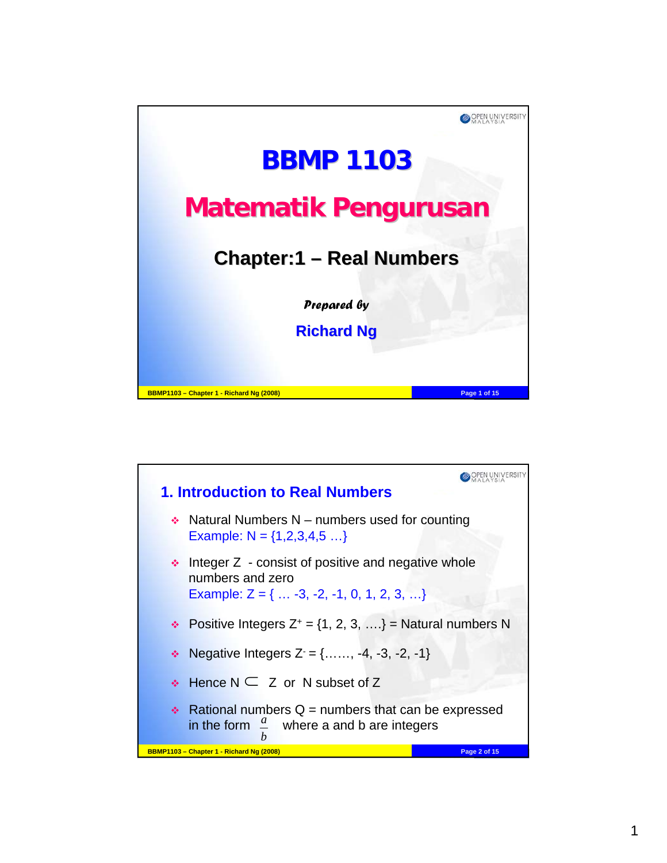

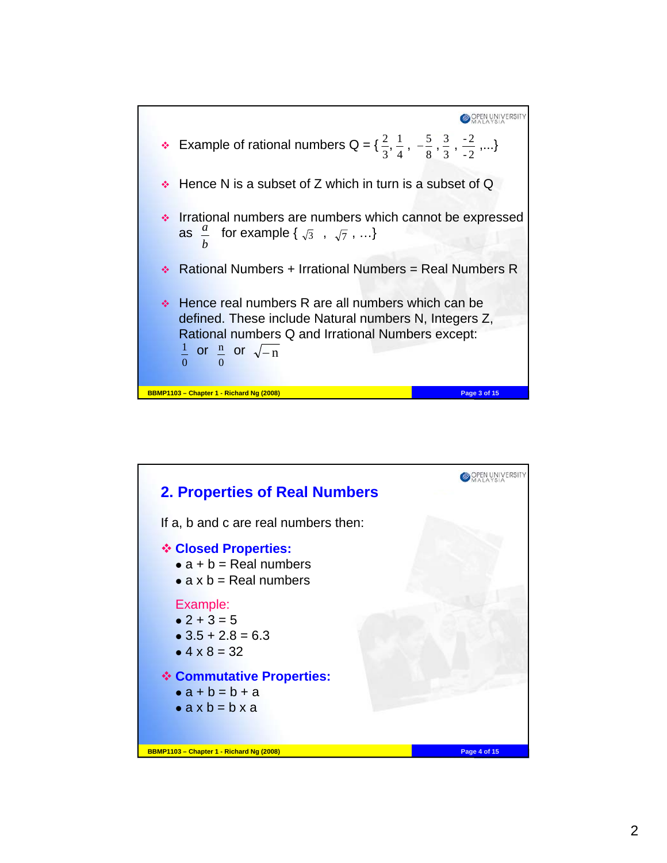

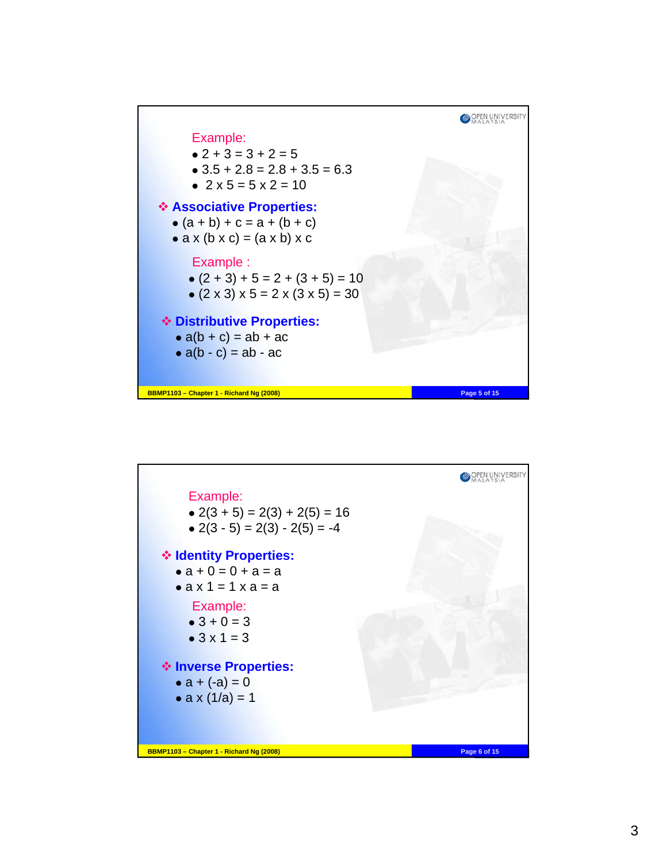

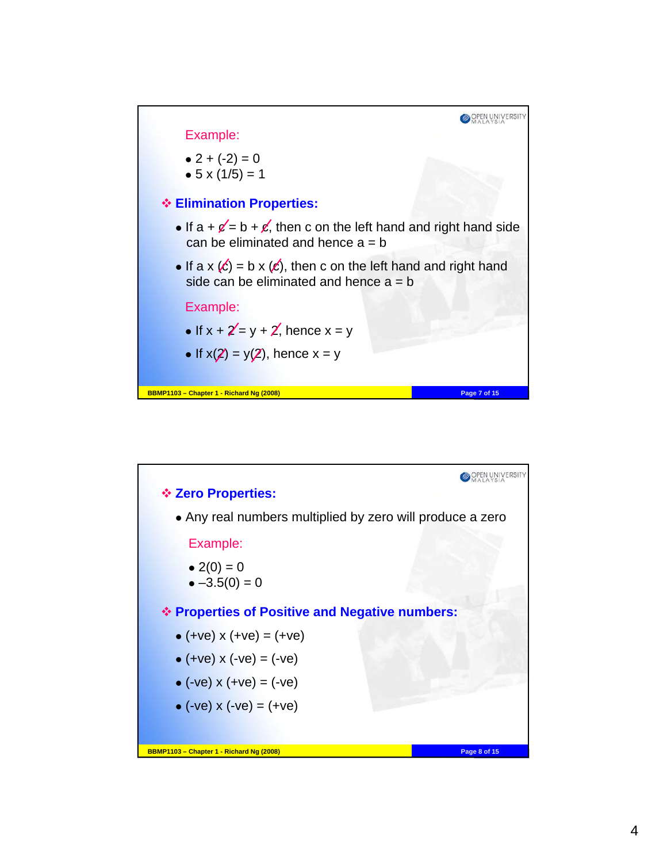

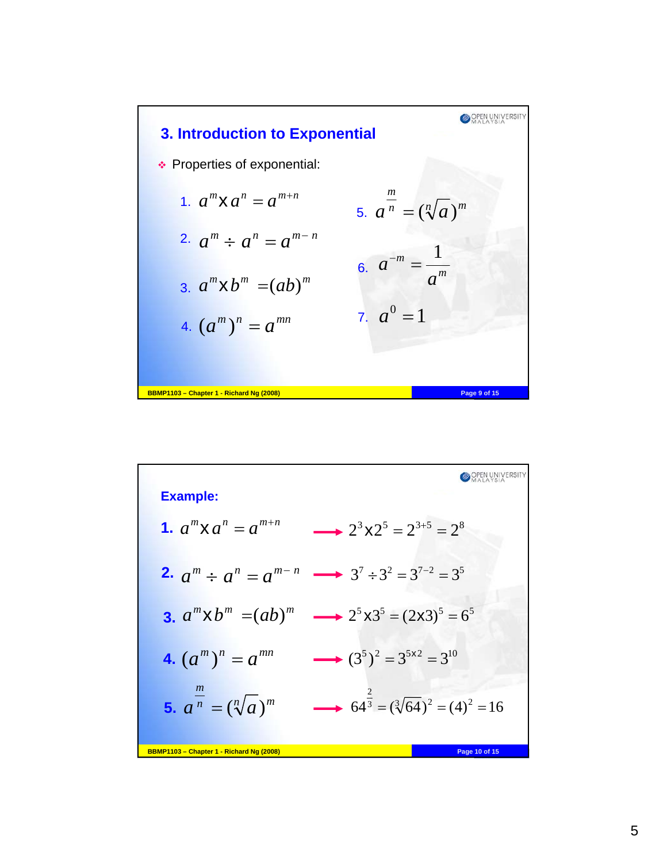

| <b>Example:</b>                          |                                                                                           |
|------------------------------------------|-------------------------------------------------------------------------------------------|
| <b>1.</b> $a^m \times a^n = a^{m+n}$     | $2^{3} \times 2^{5} = 2^{3+5} = 2^{8}$                                                    |
|                                          | <b>2.</b> $a^m \div a^n = a^{m-n} \longrightarrow 3^7 \div 3^2 = 3^{7-2} = 3^5$           |
|                                          | <b>3.</b> $a^m \times b^m = (ab)^m \longrightarrow 2^5 \times 3^5 = (2 \times 3)^5 = 6^5$ |
| 4. $(a^m)^n = a^{mn}$                    | $(3^5)^2 = 3^{5 \times 2} = 3^{10}$                                                       |
| 5. $a^{\frac{m}{n}} = (\sqrt[n]{a})^m$   | $64^{\frac{2}{3}} = (\sqrt[3]{64})^2 = (4)^2 = 16$                                        |
| BBMP1103 - Chapter 1 - Richard Ng (2008) | Page 10 of 15                                                                             |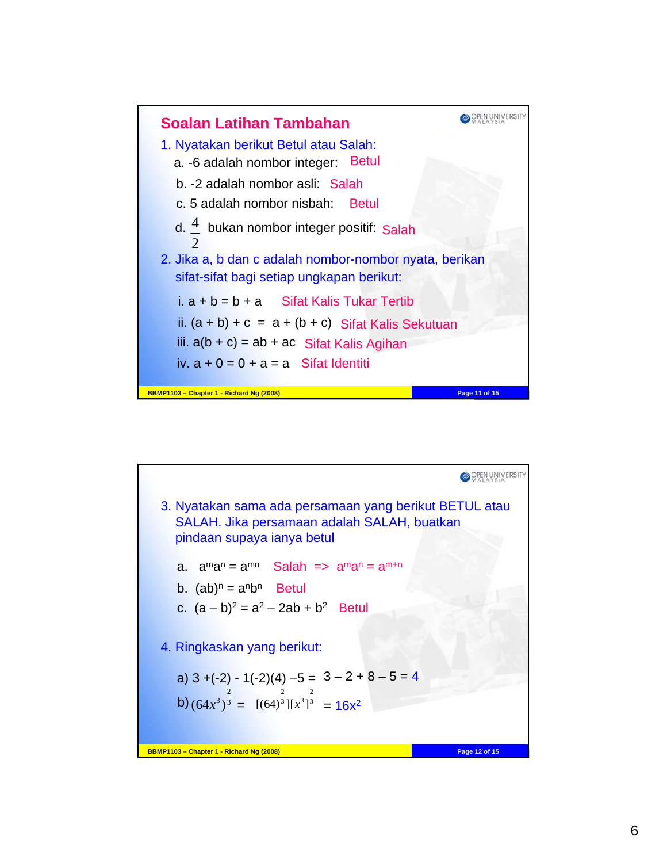

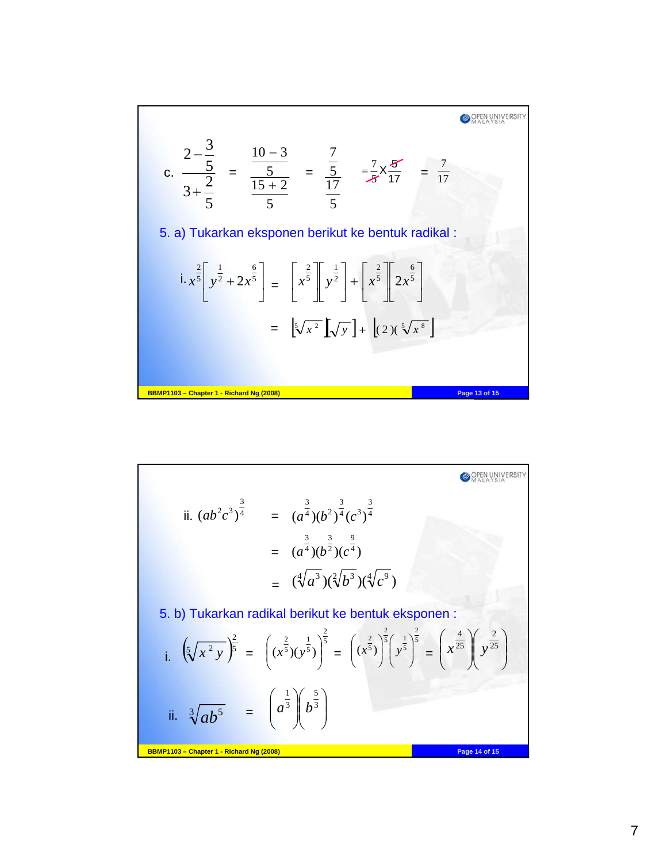$$
c. \frac{2 - \frac{3}{5}}{3 + \frac{2}{5}} = \frac{10 - 3}{\frac{5}{15 + 2}} = \frac{\frac{7}{5}}{\frac{17}{5}} = \frac{7}{\frac{7}{5}} \times \frac{8}{17} = \frac{7}{17}
$$
  
5. a) Tukarkan eksponen berikut ke bentuk radikal :  

$$
i. x^{\frac{2}{5}} \left[ y^{\frac{1}{2}} + 2x^{\frac{6}{5}} \right] = \left[ x^{\frac{2}{5}} \right] \left[ y^{\frac{1}{2}} \right] + \left[ x^{\frac{2}{5}} \right] \left[ 2x^{\frac{6}{5}} \right]
$$

$$
= \left[ \sqrt[5]{x^2} \right] \left[ \sqrt[5]{y} \right] + \left[ (2)(\sqrt[5]{x^8} \right]
$$
  
BBMP1103 - Chapter 1 - Richard Ng (2008)

ii. 
$$
(ab^2c^3)^{\frac{3}{4}}
$$
 =  $(a^{\frac{3}{4}})(b^2)^{\frac{3}{4}}(c^3)^{\frac{3}{4}}$   
\n=  $(a^{\frac{3}{4}})(b^{\frac{3}{2}})(c^{\frac{3}{4}})$   
\n=  $(\sqrt[4]{a^3})(\sqrt[2]{b^3})(\sqrt[4]{c^9})$   
\n5. b) Tukarkan radikal berikut ke bentuk eksponen :  
\ni.  $(\sqrt[5]{x^2y})^{\frac{2}{5}} = ((x^{\frac{2}{5}})(y^{\frac{1}{5}})^{\frac{2}{5}} = ((x^{\frac{2}{5}})^{\frac{2}{5}})^{\frac{2}{5}} = (x^{\frac{2}{5}})^{\frac{2}{5}}y^{\frac{1}{5}}^{\frac{2}{5}} = (x^{\frac{4}{25}})(y^{\frac{2}{25}})$   
\nii.  $\sqrt[3]{ab^5} = (a^{\frac{1}{3}})(b^{\frac{5}{3}})$   
\nBBMP1103 - Chapter 1 - Richard Ng (2008)